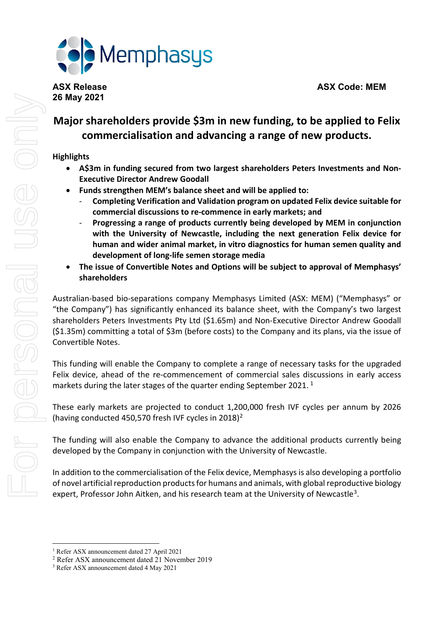**ASX Release ASX Code: MEM**



# **Major shareholders provide \$3m in new funding, to be applied to Felix commercialisation and advancing a range of new products.**

## **Highlights**

- **A\$3m in funding secured from two largest shareholders Peters Investments and Non-Executive Director Andrew Goodall**
- **Funds strengthen MEM's balance sheet and will be applied to:**
	- **Completing Verification and Validation program on updated Felix device suitable for commercial discussions to re-commence in early markets; and**
	- **Progressing a range of products currently being developed by MEM in conjunction with the University of Newcastle, including the next generation Felix device for human and wider animal market, in vitro diagnostics for human semen quality and development of long-life semen storage media**
- **The issue of Convertible Notes and Options will be subject to approval of Memphasys' shareholders**

Australian-based bio-separations company Memphasys Limited (ASX: MEM) ("Memphasys" or "the Company") has significantly enhanced its balance sheet, with the Company's two largest shareholders Peters Investments Pty Ltd (\$1.65m) and Non-Executive Director Andrew Goodall (\$1.35m) committing a total of \$3m (before costs) to the Company and its plans, via the issue of Convertible Notes.

This funding will enable the Company to complete a range of necessary tasks for the upgraded Felix device, ahead of the re-commencement of commercial sales discussions in early access markets during the later stages of the quarter ending September 202[1](#page-0-0).<sup>1</sup>

These early markets are projected to conduct 1,200,000 fresh IVF cycles per annum by 2026 (having conducted 450,570 fresh IVF cycles in 2018)[2](#page-0-1)

The funding will also enable the Company to advance the additional products currently being developed by the Company in conjunction with the University of Newcastle.

In addition to the commercialisation of the Felix device, Memphasys is also developing a portfolio of novel artificial reproduction products for humans and animals, with global reproductive biology expert, Professor John Aitken, and his research team at the University of Newcastle<sup>3</sup>.

<sup>1</sup> Refer ASX announcement dated 27 April 2021

<span id="page-0-1"></span><span id="page-0-0"></span><sup>2</sup> Refer ASX announcement dated 21 November 2019

<span id="page-0-2"></span><sup>3</sup> Refer ASX announcement dated 4 May 2021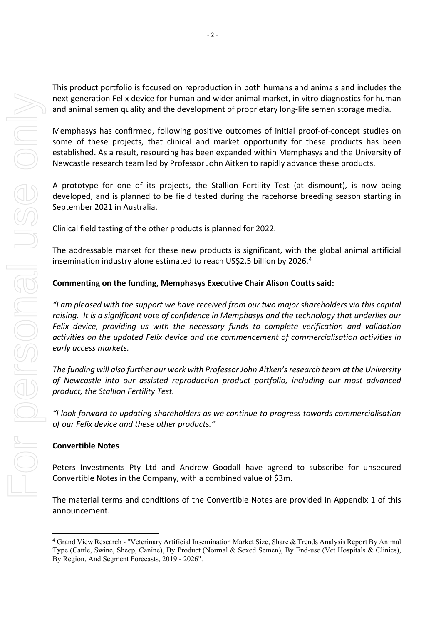This product portfolio is focused on reproduction in both humans and animals and includes the next generation Felix device for human and wider animal market, in vitro diagnostics for human and animal semen quality and the development of proprietary long-life semen storage media.

Memphasys has confirmed, following positive outcomes of initial proof-of-concept studies on some of these projects, that clinical and market opportunity for these products has been established. As a result, resourcing has been expanded within Memphasys and the University of Newcastle research team led by Professor John Aitken to rapidly advance these products.

A prototype for one of its projects, the Stallion Fertility Test (at dismount), is now being developed, and is planned to be field tested during the racehorse breeding season starting in September 2021 in Australia.

Clinical field testing of the other products is planned for 2022.

The addressable market for these new products is significant, with the global animal artificial insemination industry alone estimated to reach US\$2.5 billion by 2026.<sup>[4](#page-1-0)</sup>

## **Commenting on the funding, Memphasys Executive Chair Alison Coutts said:**

*"I am pleased with the support we have received from our two major shareholders via this capital raising. It is a significant vote of confidence in Memphasys and the technology that underlies our Felix device, providing us with the necessary funds to complete verification and validation activities on the updated Felix device and the commencement of commercialisation activities in early access markets.*

*The funding will also further our work with Professor John Aitken'sresearch team at the University of Newcastle into our assisted reproduction product portfolio, including our most advanced product, the Stallion Fertility Test.*

*"I look forward to updating shareholders as we continue to progress towards commercialisation of our Felix device and these other products."*

## **Convertible Notes**

Peters Investments Pty Ltd and Andrew Goodall have agreed to subscribe for unsecured Convertible Notes in the Company, with a combined value of \$3m.

The material terms and conditions of the Convertible Notes are provided in Appendix 1 of this announcement.

<span id="page-1-0"></span><sup>4</sup> Grand View Research - "Veterinary Artificial Insemination Market Size, Share & Trends Analysis Report By Animal Type (Cattle, Swine, Sheep, Canine), By Product (Normal & Sexed Semen), By End-use (Vet Hospitals & Clinics), By Region, And Segment Forecasts, 2019 - 2026".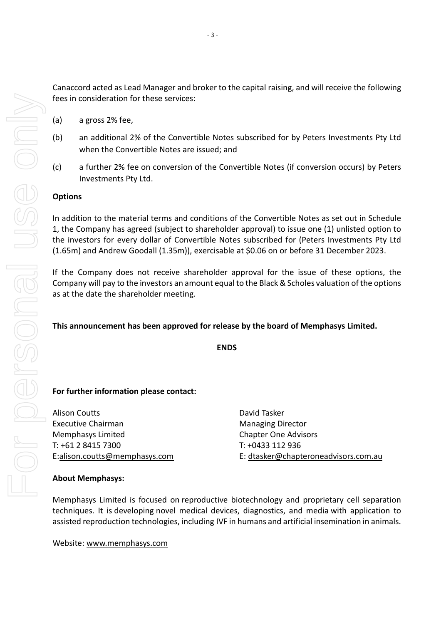Canaccord acted as Lead Manager and broker to the capital raising, and will receive the following fees in consideration for these services:

- (a) a gross 2% fee,
- (b) an additional 2% of the Convertible Notes subscribed for by Peters Investments Pty Ltd when the Convertible Notes are issued; and
- (c) a further 2% fee on conversion of the Convertible Notes (if conversion occurs) by Peters Investments Pty Ltd.

## **Options**

In addition to the material terms and conditions of the Convertible Notes as set out in Schedule 1, the Company has agreed (subject to shareholder approval) to issue one (1) unlisted option to the investors for every dollar of Convertible Notes subscribed for (Peters Investments Pty Ltd (1.65m) and Andrew Goodall (1.35m)), exercisable at \$0.06 on or before 31 December 2023.

If the Company does not receive shareholder approval for the issue of these options, the Company will pay to the investors an amount equal to the Black & Scholes valuation of the options as at the date the shareholder meeting.

## **This announcement has been approved for release by the board of Memphasys Limited.**

**ENDS**

## **For further information please contact:**

Alison Coutts **David Tasker** Executive Chairman Managing Director Memphasys Limited Chapter One Advisors T: +61 2 8415 7300 T: +0433 112 936

E[:alison.coutts@memphasys.com](mailto:alison.coutts@memphasys.com) E: [dtasker@chapteroneadvisors.com.au](mailto:dtasker@chapteroneadvisors.com.au)

## **About Memphasys:**

Memphasys Limited is focused on reproductive biotechnology and proprietary cell separation techniques. It is developing novel medical devices, diagnostics, and media with application to assisted reproduction technologies, including IVF in humans and artificial insemination in animals.

Website: [www.memphasys.com](http://www.memphasys.com/)